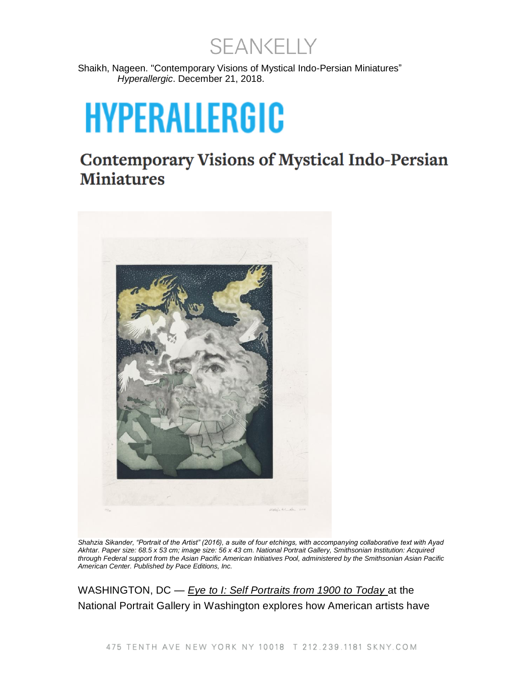SEANKELLY

Shaikh, Nageen. "Contemporary Visions of Mystical Indo-Persian Miniatures" *Hyperallergic*. December 21, 2018.

## **HYPERALLERGIC**

**Contemporary Visions of Mystical Indo-Persian Miniatures** 



*Shahzia Sikander, "Portrait of the Artist" (2016), a suite of four etchings, with accompanying collaborative text with Ayad Akhtar. Paper size: 68.5 x 53 cm; image size: 56 x 43 cm. National Portrait Gallery, Smithsonian Institution: Acquired through Federal support from the Asian Pacific American Initiatives Pool, administered by the Smithsonian Asian Pacific American Center. Published by Pace Editions, Inc.* 

WASHINGTON, DC — *Eye to [I: Self Portraits from 1900 to Today](https://www.npg.si.edu/exhibition/eye-i-self-portraits-1900-today)* at the National Portrait Gallery in Washington explores how American artists have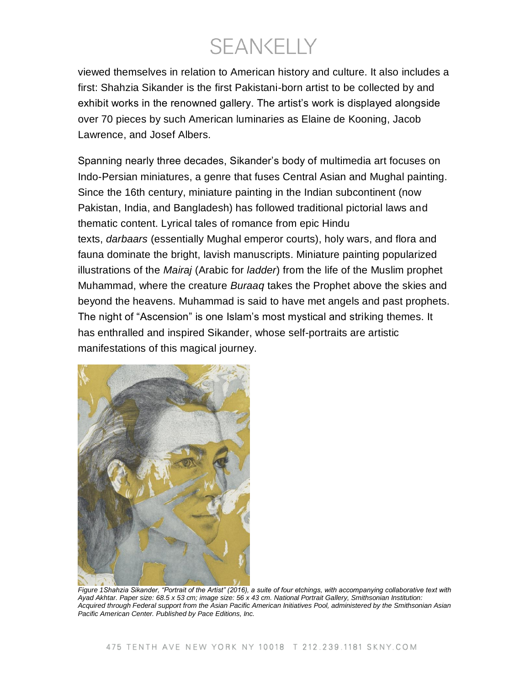**SEANKELLY** 

viewed themselves in relation to American history and culture. It also includes a first: Shahzia Sikander is the first Pakistani-born artist to be collected by and exhibit works in the renowned gallery. The artist's work is displayed alongside over 70 pieces by such American luminaries as Elaine de Kooning, Jacob Lawrence, and Josef Albers.

Spanning nearly three decades, Sikander's body of multimedia art focuses on Indo-Persian miniatures, a genre that fuses Central Asian and Mughal painting. Since the 16th century, miniature painting in the Indian subcontinent (now Pakistan, India, and Bangladesh) has followed traditional pictorial laws and thematic content. Lyrical tales of romance from epic Hindu texts, *darbaars* (essentially Mughal emperor courts), holy wars, and flora and fauna dominate the bright, lavish manuscripts. Miniature painting popularized illustrations of the *Mairaj* (Arabic for *ladder*) from the life of the Muslim prophet Muhammad, where the creature *Buraaq* takes the Prophet above the skies and beyond the heavens. Muhammad is said to have met angels and past prophets. The night of "Ascension" is one Islam's most mystical and striking themes. It has enthralled and inspired Sikander, whose self-portraits are artistic manifestations of this magical journey.



*Figure 1Shahzia Sikander, "Portrait of the Artist" (2016), a suite of four etchings, with accompanying collaborative text with Ayad Akhtar. Paper size: 68.5 x 53 cm; image size: 56 x 43 cm. National Portrait Gallery, Smithsonian Institution: Acquired through Federal support from the Asian Pacific American Initiatives Pool, administered by the Smithsonian Asian Pacific American Center. Published by Pace Editions, Inc.*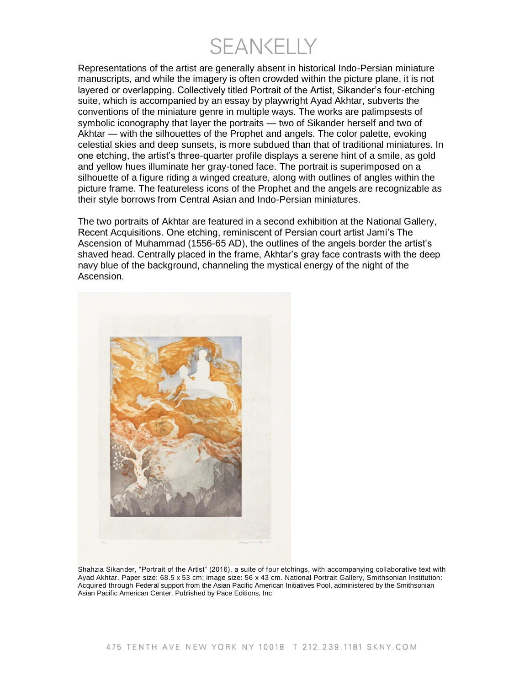**SFANKELLY** 

Representations of the artist are generally absent in historical Indo-Persian miniature manuscripts, and while the imagery is often crowded within the picture plane, it is not layered or overlapping. Collectively titled Portrait of the Artist, Sikander's four-etching suite, which is accompanied by an essay by playwright Ayad Akhtar, subverts the conventions of the miniature genre in multiple ways. The works are palimpsests of symbolic iconography that layer the portraits — two of Sikander herself and two of Akhtar — with the silhouettes of the Prophet and angels. The color palette, evoking celestial skies and deep sunsets, is more subdued than that of traditional miniatures. In one etching, the artist's three-quarter profile displays a serene hint of a smile, as gold and yellow hues illuminate her gray-toned face. The portrait is superimposed on a silhouette of a figure riding a winged creature, along with outlines of angles within the picture frame. The featureless icons of the Prophet and the angels are recognizable as their style borrows from Central Asian and Indo-Persian miniatures.

The two portraits of Akhtar are featured in a second exhibition at the National Gallery, Recent Acquisitions. One etching, reminiscent of Persian court artist Jami's The Ascension of Muhammad (1556-65 AD), the outlines of the angels border the artist's shaved head. Centrally placed in the frame, Akhtar's gray face contrasts with the deep navy blue of the background, channeling the mystical energy of the night of the Ascension.



Shahzia Sikander, "Portrait of the Artist" (2016), a suite of four etchings, with accompanying collaborative text with Ayad Akhtar. Paper size: 68.5 x 53 cm; image size: 56 x 43 cm. National Portrait Gallery, Smithsonian Institution: Acquired through Federal support from the Asian Pacific American Initiatives Pool, administered by the Smithsonian Asian Pacific American Center. Published by Pace Editions, Inc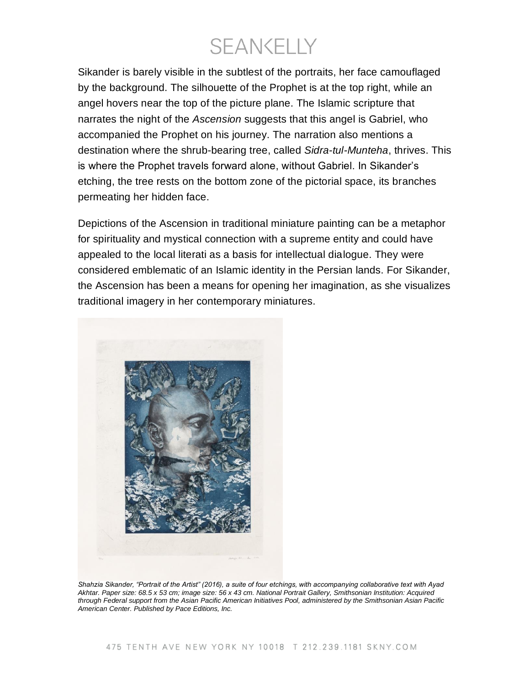**SEANKELLY** 

Sikander is barely visible in the subtlest of the portraits, her face camouflaged by the background. The silhouette of the Prophet is at the top right, while an angel hovers near the top of the picture plane. The Islamic scripture that narrates the night of the *Ascension* suggests that this angel is Gabriel, who accompanied the Prophet on his journey. The narration also mentions a destination where the shrub-bearing tree, called *Sidra-tul-Munteha*, thrives. This is where the Prophet travels forward alone, without Gabriel. In Sikander's etching, the tree rests on the bottom zone of the pictorial space, its branches permeating her hidden face.

Depictions of the Ascension in traditional miniature painting can be a metaphor for spirituality and mystical connection with a supreme entity and could have appealed to the local literati as a basis for intellectual dialogue. They were considered emblematic of an Islamic identity in the Persian lands. For Sikander, the Ascension has been a means for opening her imagination, as she visualizes traditional imagery in her contemporary miniatures.



*Shahzia Sikander, "Portrait of the Artist" (2016), a suite of four etchings, with accompanying collaborative text with Ayad Akhtar. Paper size: 68.5 x 53 cm; image size: 56 x 43 cm. National Portrait Gallery, Smithsonian Institution: Acquired through Federal support from the Asian Pacific American Initiatives Pool, administered by the Smithsonian Asian Pacific American Center. Published by Pace Editions, Inc.*